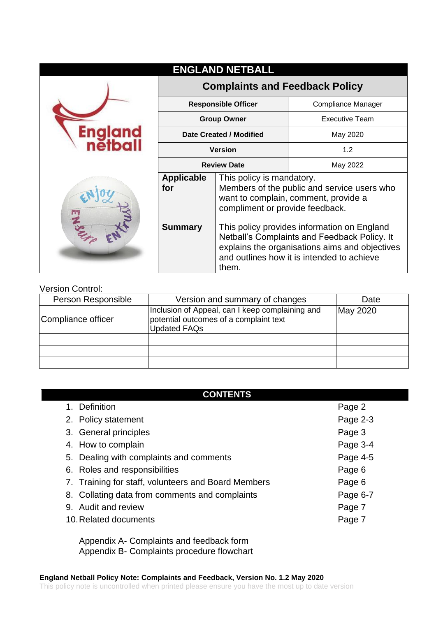|                     |                                       | <b>ENGLAND NETBALL</b>                                                                                                                                                                               |                       |
|---------------------|---------------------------------------|------------------------------------------------------------------------------------------------------------------------------------------------------------------------------------------------------|-----------------------|
|                     | <b>Complaints and Feedback Policy</b> |                                                                                                                                                                                                      |                       |
|                     | <b>Responsible Officer</b>            |                                                                                                                                                                                                      | Compliance Manager    |
| England<br>Thatball | <b>Group Owner</b>                    |                                                                                                                                                                                                      | <b>Executive Team</b> |
|                     | Date Created / Modified               |                                                                                                                                                                                                      | May 2020              |
|                     | <b>Version</b>                        |                                                                                                                                                                                                      | 1.2                   |
|                     | <b>Review Date</b>                    |                                                                                                                                                                                                      | May 2022              |
|                     | <b>Applicable</b><br>for              | This policy is mandatory.<br>Members of the public and service users who<br>want to complain, comment, provide a<br>compliment or provide feedback.                                                  |                       |
|                     | <b>Summary</b>                        | This policy provides information on England<br>Netball's Complaints and Feedback Policy. It<br>explains the organisations aims and objectives<br>and outlines how it is intended to achieve<br>them. |                       |

#### Version Control:

| Person Responsible | Version and summary of changes                                                                                   | Date     |
|--------------------|------------------------------------------------------------------------------------------------------------------|----------|
| Compliance officer | Inclusion of Appeal, can I keep complaining and<br>potential outcomes of a complaint text<br><b>Updated FAQs</b> | May 2020 |
|                    |                                                                                                                  |          |
|                    |                                                                                                                  |          |
|                    |                                                                                                                  |          |

| <b>CONTENTS</b>                                     |          |
|-----------------------------------------------------|----------|
| 1. Definition                                       | Page 2   |
| 2. Policy statement                                 | Page 2-3 |
| 3. General principles                               | Page 3   |
| 4. How to complain                                  | Page 3-4 |
| 5. Dealing with complaints and comments             | Page 4-5 |
| 6. Roles and responsibilities                       | Page 6   |
| 7. Training for staff, volunteers and Board Members | Page 6   |
| 8. Collating data from comments and complaints      | Page 6-7 |
| 9. Audit and review                                 | Page 7   |
| 10. Related documents                               | Page 7   |

Appendix A- Complaints and feedback form Appendix B- Complaints procedure flowchart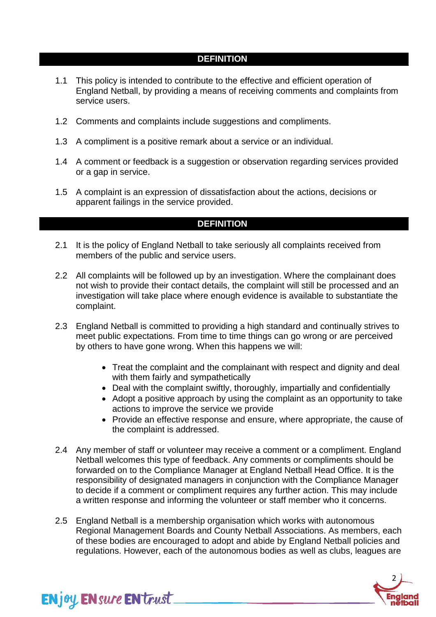### **DEFINITION**

- 1.1 This policy is intended to contribute to the effective and efficient operation of England Netball, by providing a means of receiving comments and complaints from service users.
- 1.2 Comments and complaints include suggestions and compliments.
- 1.3 A compliment is a positive remark about a service or an individual.
- 1.4 A comment or feedback is a suggestion or observation regarding services provided or a gap in service.
- 1.5 A complaint is an expression of dissatisfaction about the actions, decisions or apparent failings in the service provided.

### **DEFINITION**

- 2.1 It is the policy of England Netball to take seriously all complaints received from members of the public and service users.
- 2.2 All complaints will be followed up by an investigation. Where the complainant does not wish to provide their contact details, the complaint will still be processed and an investigation will take place where enough evidence is available to substantiate the complaint.
- 2.3 England Netball is committed to providing a high standard and continually strives to meet public expectations. From time to time things can go wrong or are perceived by others to have gone wrong. When this happens we will:
	- Treat the complaint and the complainant with respect and dignity and deal with them fairly and sympathetically
	- Deal with the complaint swiftly, thoroughly, impartially and confidentially
	- Adopt a positive approach by using the complaint as an opportunity to take actions to improve the service we provide
	- Provide an effective response and ensure, where appropriate, the cause of the complaint is addressed.
- 2.4 Any member of staff or volunteer may receive a comment or a compliment. England Netball welcomes this type of feedback. Any comments or compliments should be forwarded on to the Compliance Manager at England Netball Head Office. It is the responsibility of designated managers in conjunction with the Compliance Manager to decide if a comment or compliment requires any further action. This may include a written response and informing the volunteer or staff member who it concerns.
- 2.5 England Netball is a membership organisation which works with autonomous Regional Management Boards and County Netball Associations. As members, each of these bodies are encouraged to adopt and abide by England Netball policies and regulations. However, each of the autonomous bodies as well as clubs, leagues are

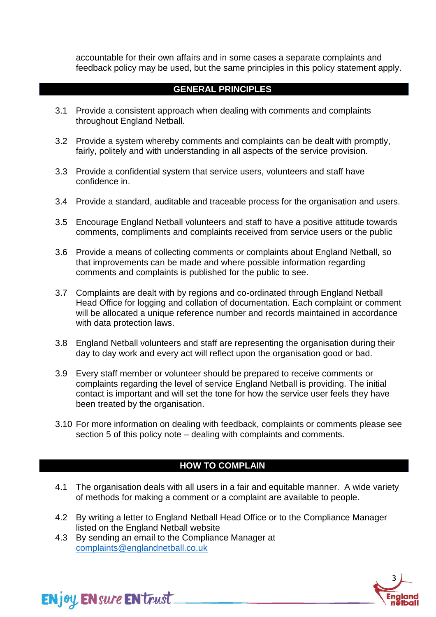accountable for their own affairs and in some cases a separate complaints and feedback policy may be used, but the same principles in this policy statement apply.

### **GENERAL PRINCIPLES**

- 3.1 Provide a consistent approach when dealing with comments and complaints throughout England Netball.
- 3.2 Provide a system whereby comments and complaints can be dealt with promptly, fairly, politely and with understanding in all aspects of the service provision.
- 3.3 Provide a confidential system that service users, volunteers and staff have confidence in.
- 3.4 Provide a standard, auditable and traceable process for the organisation and users.
- 3.5 Encourage England Netball volunteers and staff to have a positive attitude towards comments, compliments and complaints received from service users or the public
- 3.6 Provide a means of collecting comments or complaints about England Netball, so that improvements can be made and where possible information regarding comments and complaints is published for the public to see.
- 3.7 Complaints are dealt with by regions and co-ordinated through England Netball Head Office for logging and collation of documentation. Each complaint or comment will be allocated a unique reference number and records maintained in accordance with data protection laws.
- 3.8 England Netball volunteers and staff are representing the organisation during their day to day work and every act will reflect upon the organisation good or bad.
- 3.9 Every staff member or volunteer should be prepared to receive comments or complaints regarding the level of service England Netball is providing. The initial contact is important and will set the tone for how the service user feels they have been treated by the organisation.
- 3.10 For more information on dealing with feedback, complaints or comments please see section 5 of this policy note – dealing with complaints and comments.

### **HOW TO COMPLAIN**

- 4.1 The organisation deals with all users in a fair and equitable manner. A wide variety of methods for making a comment or a complaint are available to people.
- 4.2 By writing a letter to England Netball Head Office or to the Compliance Manager listed on the England Netball website
- 4.3 By sending an email to the Compliance Manager at [complaints@englandnetball.co.uk](mailto:company.secretary@englandnetball.co.uk)



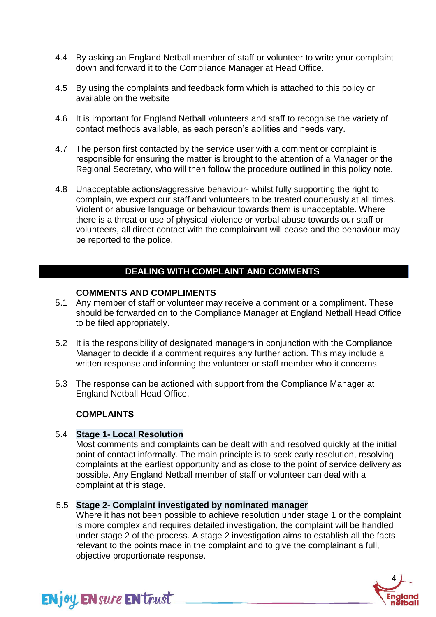- 4.4 By asking an England Netball member of staff or volunteer to write your complaint down and forward it to the Compliance Manager at Head Office.
- 4.5 By using the complaints and feedback form which is attached to this policy or available on the website
- 4.6 It is important for England Netball volunteers and staff to recognise the variety of contact methods available, as each person's abilities and needs vary.
- 4.7 The person first contacted by the service user with a comment or complaint is responsible for ensuring the matter is brought to the attention of a Manager or the Regional Secretary, who will then follow the procedure outlined in this policy note.
- 4.8 Unacceptable actions/aggressive behaviour- whilst fully supporting the right to complain, we expect our staff and volunteers to be treated courteously at all times. Violent or abusive language or behaviour towards them is unacceptable. Where there is a threat or use of physical violence or verbal abuse towards our staff or volunteers, all direct contact with the complainant will cease and the behaviour may be reported to the police.

# **DEALING WITH COMPLAINT AND COMMENTS**

#### **COMMENTS AND COMPLIMENTS**

- 5.1 Any member of staff or volunteer may receive a comment or a compliment. These should be forwarded on to the Compliance Manager at England Netball Head Office to be filed appropriately.
- 5.2 It is the responsibility of designated managers in conjunction with the Compliance Manager to decide if a comment requires any further action. This may include a written response and informing the volunteer or staff member who it concerns.
- 5.3 The response can be actioned with support from the Compliance Manager at England Netball Head Office.

#### **COMPLAINTS**

**ENjoy ENsure EN trust** 

#### 5.4 **Stage 1- Local Resolution**

Most comments and complaints can be dealt with and resolved quickly at the initial point of contact informally. The main principle is to seek early resolution, resolving complaints at the earliest opportunity and as close to the point of service delivery as possible. Any England Netball member of staff or volunteer can deal with a complaint at this stage.

#### 5.5 **Stage 2- Complaint investigated by nominated manager**

Where it has not been possible to achieve resolution under stage 1 or the complaint is more complex and requires detailed investigation, the complaint will be handled under stage 2 of the process. A stage 2 investigation aims to establish all the facts relevant to the points made in the complaint and to give the complainant a full, objective proportionate response.

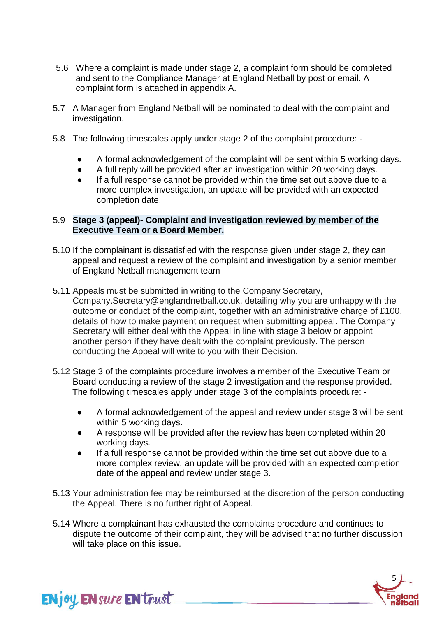- 5.6 Where a complaint is made under stage 2, a complaint form should be completed and sent to the Compliance Manager at England Netball by post or email. A complaint form is attached in appendix A.
- 5.7 A Manager from England Netball will be nominated to deal with the complaint and investigation.
- 5.8 The following timescales apply under stage 2 of the complaint procedure:
	- A formal acknowledgement of the complaint will be sent within 5 working days.
	- A full reply will be provided after an investigation within 20 working days.
	- If a full response cannot be provided within the time set out above due to a more complex investigation, an update will be provided with an expected completion date.

#### 5.9 **Stage 3 (appeal)- Complaint and investigation reviewed by member of the Executive Team or a Board Member.**

- 5.10 If the complainant is dissatisfied with the response given under stage 2, they can appeal and request a review of the complaint and investigation by a senior member of England Netball management team
- 5.11 Appeals must be submitted in writing to the Company Secretary, Company.Secretary@englandnetball.co.uk, detailing why you are unhappy with the outcome or conduct of the complaint, together with an administrative charge of £100, details of how to make payment on request when submitting appeal. The Company Secretary will either deal with the Appeal in line with stage 3 below or appoint another person if they have dealt with the complaint previously. The person conducting the Appeal will write to you with their Decision.
- 5.12 Stage 3 of the complaints procedure involves a member of the Executive Team or Board conducting a review of the stage 2 investigation and the response provided. The following timescales apply under stage 3 of the complaints procedure: -
	- A formal acknowledgement of the appeal and review under stage 3 will be sent within 5 working days.
	- A response will be provided after the review has been completed within 20 working days.
	- If a full response cannot be provided within the time set out above due to a more complex review, an update will be provided with an expected completion date of the appeal and review under stage 3.
- 5.13 Your administration fee may be reimbursed at the discretion of the person conducting the Appeal. There is no further right of Appeal.
- 5.14 Where a complainant has exhausted the complaints procedure and continues to dispute the outcome of their complaint, they will be advised that no further discussion will take place on this issue.

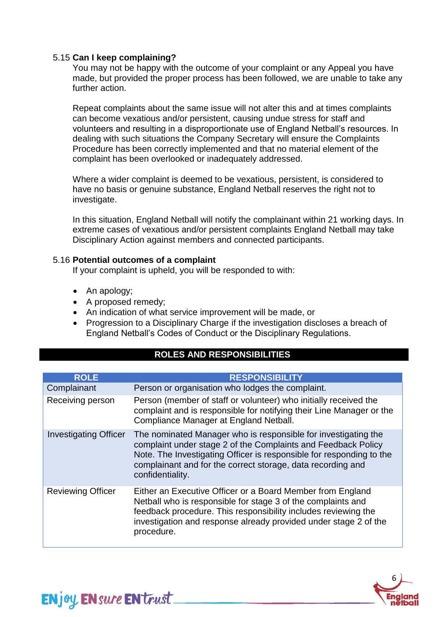#### 5.15 **Can I keep complaining?**

You may not be happy with the outcome of your complaint or any Appeal you have made, but provided the proper process has been followed, we are unable to take any further action.

Repeat complaints about the same issue will not alter this and at times complaints can become vexatious and/or persistent, causing undue stress for staff and volunteers and resulting in a disproportionate use of England Netball's resources. In dealing with such situations the Company Secretary will ensure the Complaints Procedure has been correctly implemented and that no material element of the complaint has been overlooked or inadequately addressed.

Where a wider complaint is deemed to be vexatious, persistent, is considered to have no basis or genuine substance, England Netball reserves the right not to investigate.

In this situation, England Netball will notify the complainant within 21 working days. In extreme cases of vexatious and/or persistent complaints England Netball may take Disciplinary Action against members and connected participants.

#### 5.16 **Potential outcomes of a complaint**

If your complaint is upheld, you will be responded to with:

• An apology;

**ENjoy ENsure EN trust** 

- A proposed remedy;
- An indication of what service improvement will be made, or
- Progression to a Disciplinary Charge if the investigation discloses a breach of England Netball's Codes of Conduct or the Disciplinary Regulations.

## **ROLES AND RESPONSIBILITIES**

| <b>ROLE</b>                  | <b>RESPONSIBILITY</b>                                                                                                                                                                                                                                                                      |
|------------------------------|--------------------------------------------------------------------------------------------------------------------------------------------------------------------------------------------------------------------------------------------------------------------------------------------|
| Complainant                  | Person or organisation who lodges the complaint.                                                                                                                                                                                                                                           |
| Receiving person             | Person (member of staff or volunteer) who initially received the<br>complaint and is responsible for notifying their Line Manager or the<br>Compliance Manager at England Netball.                                                                                                         |
| <b>Investigating Officer</b> | The nominated Manager who is responsible for investigating the<br>complaint under stage 2 of the Complaints and Feedback Policy<br>Note. The Investigating Officer is responsible for responding to the<br>complainant and for the correct storage, data recording and<br>confidentiality. |
| <b>Reviewing Officer</b>     | Either an Executive Officer or a Board Member from England<br>Netball who is responsible for stage 3 of the complaints and<br>feedback procedure. This responsibility includes reviewing the<br>investigation and response already provided under stage 2 of the<br>procedure.             |

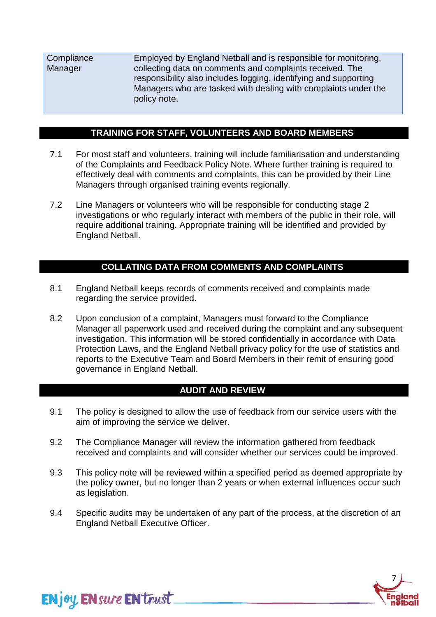**Compliance Manager** Employed by England Netball and is responsible for monitoring, collecting data on comments and complaints received. The responsibility also includes logging, identifying and supporting Managers who are tasked with dealing with complaints under the policy note.

# **TRAINING FOR STAFF, VOLUNTEERS AND BOARD MEMBERS**

- 7.1 For most staff and volunteers, training will include familiarisation and understanding of the Complaints and Feedback Policy Note. Where further training is required to effectively deal with comments and complaints, this can be provided by their Line Managers through organised training events regionally.
- 7.2 Line Managers or volunteers who will be responsible for conducting stage 2 investigations or who regularly interact with members of the public in their role, will require additional training. Appropriate training will be identified and provided by England Netball.

# **COLLATING DATA FROM COMMENTS AND COMPLAINTS**

- 8.1 England Netball keeps records of comments received and complaints made regarding the service provided.
- 8.2 Upon conclusion of a complaint, Managers must forward to the Compliance Manager all paperwork used and received during the complaint and any subsequent investigation. This information will be stored confidentially in accordance with Data Protection Laws, and the England Netball privacy policy for the use of statistics and reports to the Executive Team and Board Members in their remit of ensuring good governance in England Netball.

## **AUDIT AND REVIEW**

- 9.1 The policy is designed to allow the use of feedback from our service users with the aim of improving the service we deliver.
- 9.2 The Compliance Manager will review the information gathered from feedback received and complaints and will consider whether our services could be improved.
- 9.3 This policy note will be reviewed within a specified period as deemed appropriate by the policy owner, but no longer than 2 years or when external influences occur such as legislation.
- 9.4 Specific audits may be undertaken of any part of the process, at the discretion of an England Netball Executive Officer.

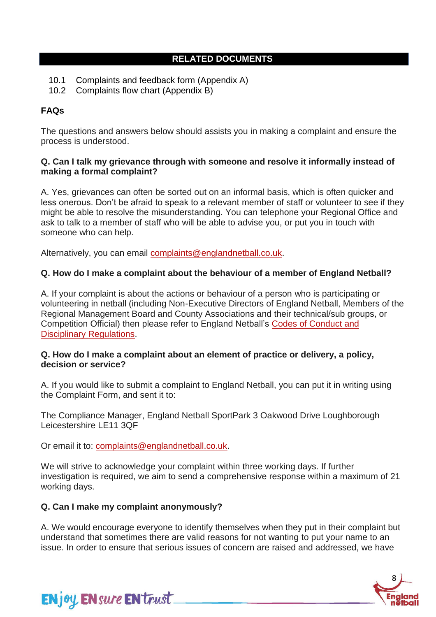# **RELATED DOCUMENTS**

- 10.1 Complaints and feedback form (Appendix A)
- 10.2 Complaints flow chart (Appendix B)

# **FAQs**

The questions and answers below should assists you in making a complaint and ensure the process is understood.

#### **Q. Can I talk my grievance through with someone and resolve it informally instead of making a formal complaint?**

A. Yes, grievances can often be sorted out on an informal basis, which is often quicker and less onerous. Don't be afraid to speak to a relevant member of staff or volunteer to see if they might be able to resolve the misunderstanding. You can telephone your Regional Office and ask to talk to a member of staff who will be able to advise you, or put you in touch with someone who can help.

Alternatively, you can email [complaints@englandnetball.co.uk.](mailto:complaints@englandnetball.co.uk)

## **Q. How do I make a complaint about the behaviour of a member of England Netball?**

A. If your complaint is about the actions or behaviour of a person who is participating or volunteering in netball (including Non-Executive Directors of England Netball, Members of the Regional Management Board and County Associations and their technical/sub groups, or Competition Official) then please refer to England Netball's [Codes of Conduct and](https://englandnetball-admin.soticcloud.net/governance/enjoy-ensure-entrust/enjoy-codes-of-conduct-disciplinary-regulations/)  [Disciplinary Regulations.](https://englandnetball-admin.soticcloud.net/governance/enjoy-ensure-entrust/enjoy-codes-of-conduct-disciplinary-regulations/)

#### **Q. How do I make a complaint about an element of practice or delivery, a policy, decision or service?**

A. If you would like to submit a complaint to England Netball, you can put it in writing using the Complaint Form, and sent it to:

The Compliance Manager, England Netball SportPark 3 Oakwood Drive Loughborough Leicestershire LE11 3QF

Or email it to: [complaints@englandnetball.co.uk.](mailto:complaints@englandnetball.co.uk)

We will strive to acknowledge your complaint within three working days. If further investigation is required, we aim to send a comprehensive response within a maximum of 21 working days.

## **Q. Can I make my complaint anonymously?**

A. We would encourage everyone to identify themselves when they put in their complaint but understand that sometimes there are valid reasons for not wanting to put your name to an issue. In order to ensure that serious issues of concern are raised and addressed, we have



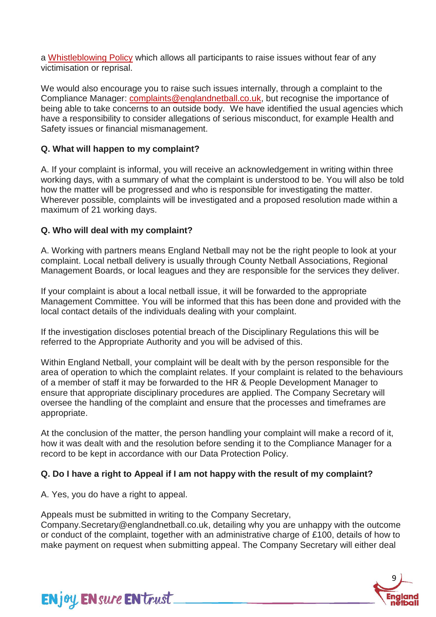a [Whistleblowing Policy](https://d2cx26qpfwuhvu.cloudfront.net/englandnetball/wp-content/uploads/2018/06/02172359/Whistleblowing-Policy-May-18.pdf) which allows all participants to raise issues without fear of any victimisation or reprisal.

We would also encourage you to raise such issues internally, through a complaint to the Compliance Manager: [complaints@englandnetball.co.uk,](mailto:complaints@englandnetball.co.uk) but recognise the importance of being able to take concerns to an outside body. We have identified the usual agencies which have a responsibility to consider allegations of serious misconduct, for example Health and Safety issues or financial mismanagement.

## **Q. What will happen to my complaint?**

A. If your complaint is informal, you will receive an acknowledgement in writing within three working days, with a summary of what the complaint is understood to be. You will also be told how the matter will be progressed and who is responsible for investigating the matter. Wherever possible, complaints will be investigated and a proposed resolution made within a maximum of 21 working days.

# **Q. Who will deal with my complaint?**

A. Working with partners means England Netball may not be the right people to look at your complaint. Local netball delivery is usually through County Netball Associations, Regional Management Boards, or local leagues and they are responsible for the services they deliver.

If your complaint is about a local netball issue, it will be forwarded to the appropriate Management Committee. You will be informed that this has been done and provided with the local contact details of the individuals dealing with your complaint.

If the investigation discloses potential breach of the Disciplinary Regulations this will be referred to the Appropriate Authority and you will be advised of this.

Within England Netball, your complaint will be dealt with by the person responsible for the area of operation to which the complaint relates. If your complaint is related to the behaviours of a member of staff it may be forwarded to the HR & People Development Manager to ensure that appropriate disciplinary procedures are applied. The Company Secretary will oversee the handling of the complaint and ensure that the processes and timeframes are appropriate.

At the conclusion of the matter, the person handling your complaint will make a record of it, how it was dealt with and the resolution before sending it to the Compliance Manager for a record to be kept in accordance with our Data Protection Policy.

## **Q. Do I have a right to Appeal if I am not happy with the result of my complaint?**

A. Yes, you do have a right to appeal.

Appeals must be submitted in writing to the Company Secretary,

Company.Secretary@englandnetball.co.uk, detailing why you are unhappy with the outcome or conduct of the complaint, together with an administrative charge of £100, details of how to make payment on request when submitting appeal. The Company Secretary will either deal



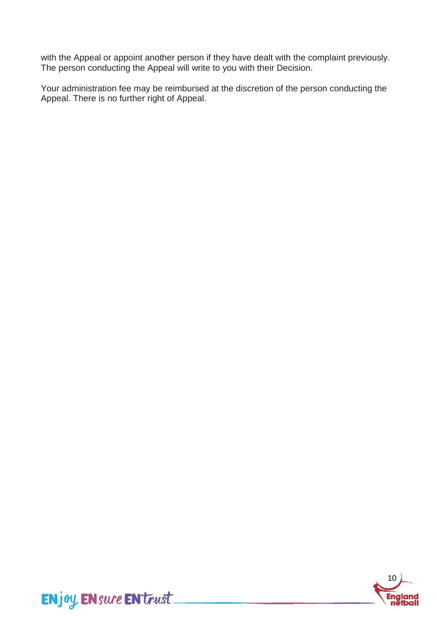with the Appeal or appoint another person if they have dealt with the complaint previously. The person conducting the Appeal will write to you with their Decision.

Your administration fee may be reimbursed at the discretion of the person conducting the Appeal. There is no further right of Appeal.

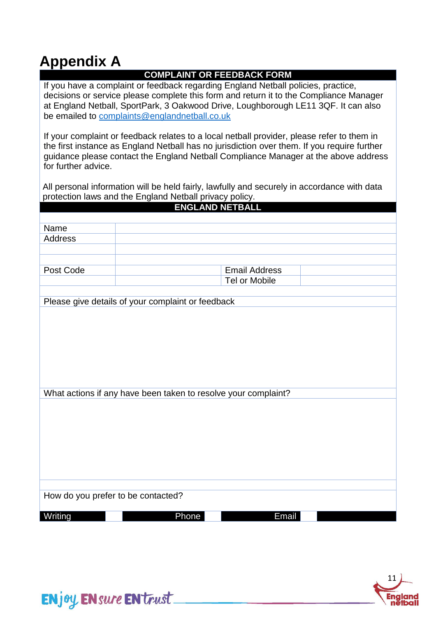# **Appendix A**

# **COMPLAINT OR FEEDBACK FORM**

If you have a complaint or feedback regarding England Netball policies, practice, decisions or service please complete this form and return it to the Compliance Manager at England Netball, SportPark, 3 Oakwood Drive, Loughborough LE11 3QF. It can also be emailed to [complaints@englandnetball.co.uk](mailto:company.secretary@englandnetball.co.uk)

If your complaint or feedback relates to a local netball provider, please refer to them in the first instance as England Netball has no jurisdiction over them. If you require further guidance please contact the England Netball Compliance Manager at the above address for further advice.

All personal information will be held fairly, lawfully and securely in accordance with data protection laws and the England Netball privacy policy.

| Name<br><b>Address</b><br>Post Code<br><b>Email Address</b><br>Tel or Mobile<br>Please give details of your complaint or feedback |  |
|-----------------------------------------------------------------------------------------------------------------------------------|--|
|                                                                                                                                   |  |
|                                                                                                                                   |  |
|                                                                                                                                   |  |
|                                                                                                                                   |  |
|                                                                                                                                   |  |
|                                                                                                                                   |  |
|                                                                                                                                   |  |
|                                                                                                                                   |  |
|                                                                                                                                   |  |
|                                                                                                                                   |  |
|                                                                                                                                   |  |
|                                                                                                                                   |  |
|                                                                                                                                   |  |
|                                                                                                                                   |  |
|                                                                                                                                   |  |
|                                                                                                                                   |  |
|                                                                                                                                   |  |
| What actions if any have been taken to resolve your complaint?                                                                    |  |
|                                                                                                                                   |  |
|                                                                                                                                   |  |
|                                                                                                                                   |  |
|                                                                                                                                   |  |
|                                                                                                                                   |  |
|                                                                                                                                   |  |
|                                                                                                                                   |  |
|                                                                                                                                   |  |
|                                                                                                                                   |  |
| How do you prefer to be contacted?                                                                                                |  |
|                                                                                                                                   |  |
| Phone<br>Writing<br>Email                                                                                                         |  |